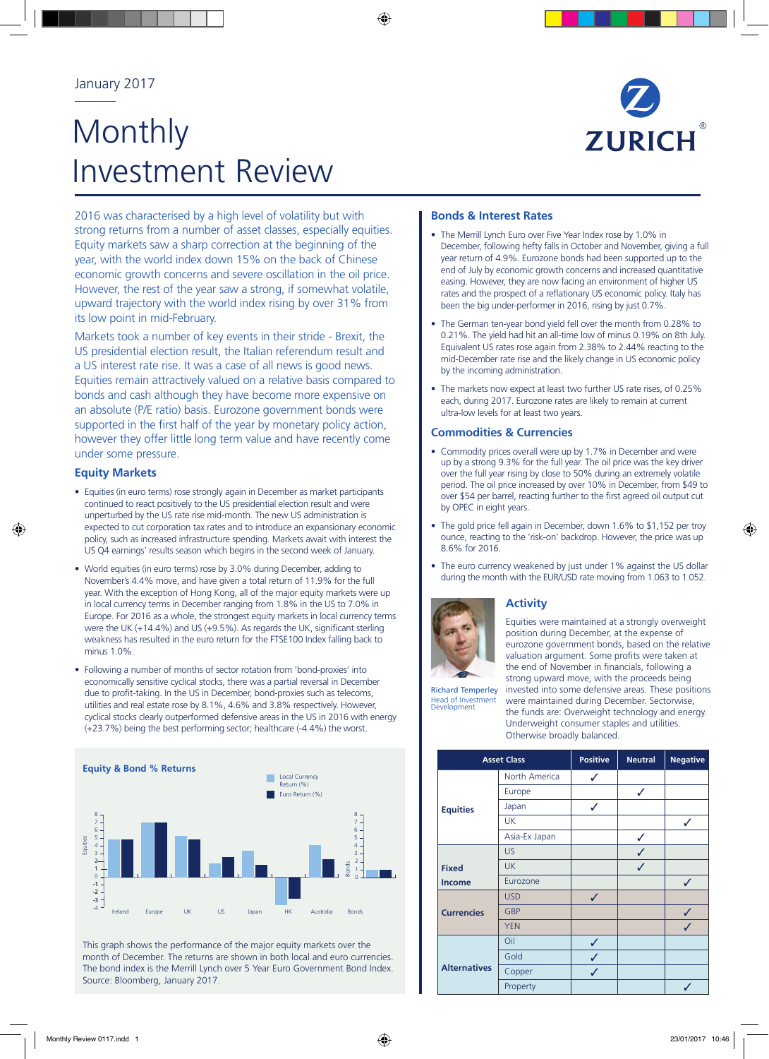# Monthly Investment Review



2016 was characterised by a high level of volatility but with strong returns from a number of asset classes, especially equities. Equity markets saw a sharp correction at the beginning of the year, with the world index down 15% on the back of Chinese economic growth concerns and severe oscillation in the oil price. However, the rest of the year saw a strong, if somewhat volatile, upward trajectory with the world index rising by over 31% from its low point in mid-February.

Markets took a number of key events in their stride - Brexit, the US presidential election result, the Italian referendum result and a US interest rate rise. It was a case of all news is good news. Equities remain attractively valued on a relative basis compared to bonds and cash although they have become more expensive on an absolute (P/E ratio) basis. Eurozone government bonds were supported in the first half of the year by monetary policy action, however they offer little long term value and have recently come under some pressure.

# **Equity Markets**

- Equities (in euro terms) rose strongly again in December as market participants continued to react positively to the US presidential election result and were unperturbed by the US rate rise mid-month. The new US administration is expected to cut corporation tax rates and to introduce an expansionary economic policy, such as increased infrastructure spending. Markets await with interest the US Q4 earnings' results season which begins in the second week of January.
- World equities (in euro terms) rose by 3.0% during December, adding to November's 4.4% move, and have given a total return of 11.9% for the full year. With the exception of Hong Kong, all of the major equity markets were up in local currency terms in December ranging from 1.8% in the US to 7.0% in Europe. For 2016 as a whole, the strongest equity markets in local currency terms were the UK (+14.4%) and US (+9.5%). As regards the UK, significant sterling weakness has resulted in the euro return for the FTSE100 Index falling back to minus 1.0%.
- Following a number of months of sector rotation from 'bond-proxies' into economically sensitive cyclical stocks, there was a partial reversal in December due to profit-taking. In the US in December, bond-proxies such as telecoms, utilities and real estate rose by 8.1%, 4.6% and 3.8% respectively. However, cyclical stocks clearly outperformed defensive areas in the US in 2016 with energy (+23.7%) being the best performing sector; healthcare (-4.4%) the worst.



This graph shows the performance of the major equity markets over the month of December. The returns are shown in both local and euro currencies. The bond index is the Merrill Lynch over 5 Year Euro Government Bond Index. Source: Bloomberg, January 2017.

### **Bonds & Interest Rates**

- The Merrill Lynch Euro over Five Year Index rose by 1.0% in December, following hefty falls in October and November, giving a full year return of 4.9%. Eurozone bonds had been supported up to the end of July by economic growth concerns and increased quantitative easing. However, they are now facing an environment of higher US rates and the prospect of a reflationary US economic policy. Italy has been the big under-performer in 2016, rising by just 0.7%.
- The German ten-year bond yield fell over the month from 0.28% to 0.21%. The yield had hit an all-time low of minus 0.19% on 8th July. Equivalent US rates rose again from 2.38% to 2.44% reacting to the mid-December rate rise and the likely change in US economic policy by the incoming administration.
- The markets now expect at least two further US rate rises, of 0.25% each, during 2017. Eurozone rates are likely to remain at current ultra-low levels for at least two years.

### **Commodities & Currencies**

- Commodity prices overall were up by 1.7% in December and were up by a strong 9.3% for the full year. The oil price was the key driver over the full year rising by close to 50% during an extremely volatile period. The oil price increased by over 10% in December, from \$49 to over \$54 per barrel, reacting further to the first agreed oil output cut by OPEC in eight years.
- The gold price fell again in December, down 1.6% to \$1,152 per troy ounce, reacting to the 'risk-on' backdrop. However, the price was up 8.6% for 2016.
- The euro currency weakened by just under 1% against the US dollar during the month with the EUR/USD rate moving from 1.063 to 1.052.



# **Activity**

Equities were maintained at a strongly overweight position during December, at the expense of eurozone government bonds, based on the relative valuation argument. Some profits were taken at the end of November in financials, following a strong upward move, with the proceeds being

Richard Temperley Head of Investment Development invested into some defensive areas. These positions were maintained during December. Sectorwise, the funds are: Overweight technology and energy. Underweight consumer staples and utilities. Otherwise broadly balanced.

| <b>Asset Class</b>  |               | <b>Positive</b> | <b>Neutral</b> | <b>Negative</b> |
|---------------------|---------------|-----------------|----------------|-----------------|
|                     | North America | ✓               |                |                 |
| <b>Equities</b>     | Europe        |                 | ✓              |                 |
|                     | Japan         | ✓               |                |                 |
|                     | <b>UK</b>     |                 |                | ✓               |
|                     | Asia-Ex Japan |                 | ✓              |                 |
|                     | <b>US</b>     |                 |                |                 |
| <b>Fixed</b>        | <b>UK</b>     |                 | ✓              |                 |
| <b>Income</b>       | Eurozone      |                 |                | ✓               |
| <b>Currencies</b>   | <b>USD</b>    | ✓               |                |                 |
|                     | <b>GBP</b>    |                 |                | ✓               |
|                     | <b>YEN</b>    |                 |                | ✓               |
| <b>Alternatives</b> | Oil           | ✓               |                |                 |
|                     | Gold          | ✓               |                |                 |
|                     | Copper        | ✓               |                |                 |
|                     | Property      |                 |                |                 |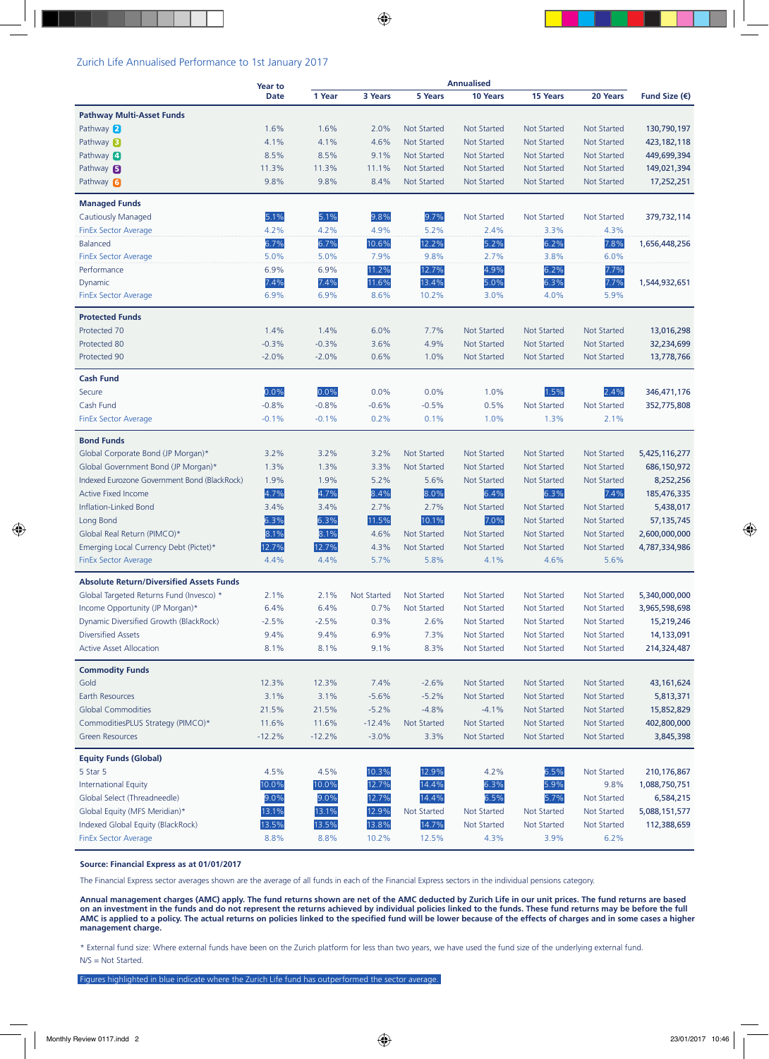#### Zurich Life Annualised Performance to 1st January 2017

|                                                 | <b>Year to</b> | <b>Annualised</b> |                    |                    |                    |                    |                    |                        |
|-------------------------------------------------|----------------|-------------------|--------------------|--------------------|--------------------|--------------------|--------------------|------------------------|
|                                                 | <b>Date</b>    | 1 Year            | 3 Years            | 5 Years            | 10 Years           | <b>15 Years</b>    | 20 Years           | Fund Size $(\epsilon)$ |
| <b>Pathway Multi-Asset Funds</b>                |                |                   |                    |                    |                    |                    |                    |                        |
| Pathway 2                                       | 1.6%           | 1.6%              | 2.0%               | <b>Not Started</b> | <b>Not Started</b> | <b>Not Started</b> | <b>Not Started</b> | 130,790,197            |
| Pathway $\mathbf{B}$                            | 4.1%           | 4.1%              | 4.6%               | <b>Not Started</b> | <b>Not Started</b> | <b>Not Started</b> | <b>Not Started</b> | 423, 182, 118          |
| Pathway 4                                       | 8.5%           | 8.5%              | 9.1%               | <b>Not Started</b> | <b>Not Started</b> | <b>Not Started</b> | <b>Not Started</b> | 449,699,394            |
| Pathway $\blacksquare$                          | 11.3%          | 11.3%             | 11.1%              | <b>Not Started</b> | <b>Not Started</b> | <b>Not Started</b> | <b>Not Started</b> | 149,021,394            |
| Pathway 6                                       | 9.8%           | 9.8%              | 8.4%               | <b>Not Started</b> | <b>Not Started</b> | Not Started        | Not Started        | 17,252,251             |
|                                                 |                |                   |                    |                    |                    |                    |                    |                        |
| <b>Managed Funds</b>                            |                |                   |                    |                    |                    |                    |                    |                        |
| Cautiously Managed                              | 5.1%           | 5.1%              | 9.8%               | 9.7%               | Not Started        | Not Started        | Not Started        | 379,732,114            |
| <b>FinEx Sector Average</b>                     | 4.2%           | 4.2%              | 4.9%               | 5.2%               | 2.4%               | 3.3%               | 4.3%               |                        |
| <b>Balanced</b>                                 | 6.7%           | 6.7%              | 10.6%              | 12.2%              | 5.2%               | 6.2%               | 7.8%               | 1,656,448,256          |
| <b>FinEx Sector Average</b>                     | 5.0%           | 5.0%              | 7.9%               | 9.8%               | 2.7%               | 3.8%               | 6.0%               |                        |
| Performance                                     | 6.9%           | 6.9%              | 11.2%              | 12.7%              | 4.9%               | 6.2%               | 7.7%               |                        |
| Dynamic                                         | 7.4%           | 7.4%              | 11.6%              | 13.4%              | 5.0%               | 6.3%               | 7.7%               | 1,544,932,651          |
| FinEx Sector Average                            | 6.9%           | 6.9%              | 8.6%               | 10.2%              | 3.0%               | 4.0%               | 5.9%               |                        |
| <b>Protected Funds</b>                          |                |                   |                    |                    |                    |                    |                    |                        |
| Protected 70                                    | 1.4%           | 1.4%              | 6.0%               | 7.7%               | <b>Not Started</b> | <b>Not Started</b> | <b>Not Started</b> | 13,016,298             |
| Protected 80                                    | $-0.3%$        | $-0.3%$           | 3.6%               | 4.9%               | <b>Not Started</b> | <b>Not Started</b> | <b>Not Started</b> | 32,234,699             |
| Protected 90                                    | $-2.0%$        | $-2.0%$           | 0.6%               | 1.0%               | <b>Not Started</b> | <b>Not Started</b> | <b>Not Started</b> | 13,778,766             |
| <b>Cash Fund</b>                                |                |                   |                    |                    |                    |                    |                    |                        |
| Secure                                          | 0.0%           | 0.0%              | 0.0%               | 0.0%               | 1.0%               | 1.5%               | 2.4%               | 346,471,176            |
| Cash Fund                                       | $-0.8%$        | $-0.8%$           | $-0.6%$            | $-0.5%$            | 0.5%               | <b>Not Started</b> | <b>Not Started</b> | 352,775,808            |
| <b>FinEx Sector Average</b>                     | $-0.1%$        | $-0.1%$           | 0.2%               | 0.1%               | 1.0%               | 1.3%               | 2.1%               |                        |
|                                                 |                |                   |                    |                    |                    |                    |                    |                        |
| <b>Bond Funds</b>                               |                |                   |                    |                    |                    |                    |                    |                        |
| Global Corporate Bond (JP Morgan)*              | 3.2%           | 3.2%              | 3.2%               | <b>Not Started</b> | <b>Not Started</b> | <b>Not Started</b> | <b>Not Started</b> | 5,425,116,277          |
| Global Government Bond (JP Morgan)*             | 1.3%           | 1.3%              | 3.3%               | <b>Not Started</b> | <b>Not Started</b> | <b>Not Started</b> | <b>Not Started</b> | 686,150,972            |
| Indexed Eurozone Government Bond (BlackRock)    | 1.9%           | 1.9%              | 5.2%               | 5.6%               | <b>Not Started</b> | <b>Not Started</b> | <b>Not Started</b> | 8,252,256              |
| <b>Active Fixed Income</b>                      | 4.7%           | 4.7%              | 8.4%               | 8.0%               | 6.4%               | 6.3%               | 7.4%               | 185,476,335            |
| Inflation-Linked Bond                           | 3.4%           | 3.4%              | 2.7%               | 2.7%               | <b>Not Started</b> | <b>Not Started</b> | <b>Not Started</b> | 5,438,017              |
| Long Bond                                       | 6.3%           | 6.3%              | 11.5%              | 10.1%              | 7.0%               | <b>Not Started</b> | <b>Not Started</b> | 57,135,745             |
| Global Real Return (PIMCO)*                     | 8.1%           | 8.1%              | 4.6%               | <b>Not Started</b> | <b>Not Started</b> | <b>Not Started</b> | <b>Not Started</b> | 2,600,000,000          |
| Emerging Local Currency Debt (Pictet)*          | 12.7%          | 12.7%             | 4.3%               | <b>Not Started</b> | <b>Not Started</b> | <b>Not Started</b> | <b>Not Started</b> | 4,787,334,986          |
| <b>FinEx Sector Average</b>                     | 4.4%           | 4.4%              | 5.7%               | 5.8%               | 4.1%               | 4.6%               | 5.6%               |                        |
| <b>Absolute Return/Diversified Assets Funds</b> |                |                   |                    |                    |                    |                    |                    |                        |
| Global Targeted Returns Fund (Invesco) *        | 2.1%           | 2.1%              | <b>Not Started</b> | <b>Not Started</b> | <b>Not Started</b> | <b>Not Started</b> | <b>Not Started</b> | 5,340,000,000          |
| Income Opportunity (JP Morgan)*                 | 6.4%           | 6.4%              | 0.7%               | Not Started        | Not Started        | Not Started        | Not Started        | 3,965,598,698          |
| Dynamic Diversified Growth (BlackRock)          | $-2.5%$        | $-2.5%$           | 0.3%               | 2.6%               | Not Started        | Not Started        | Not Started        | 15,219,246             |
| <b>Diversified Assets</b>                       | 9.4%           | 9.4%              | 6.9%               | 7.3%               | Not Started        | <b>Not Started</b> | <b>Not Started</b> | 14,133,091             |
| <b>Active Asset Allocation</b>                  | 8.1%           | 8.1%              | 9.1%               | 8.3%               | <b>Not Started</b> | <b>Not Started</b> | <b>Not Started</b> | 214,324,487            |
|                                                 |                |                   |                    |                    |                    |                    |                    |                        |
| <b>Commodity Funds</b><br>Gold                  | 12.3%          | 12.3%             | 7.4%               | $-2.6%$            | <b>Not Started</b> | Not Started        | <b>Not Started</b> | 43, 161, 624           |
| Earth Resources                                 | 3.1%           | 3.1%              | $-5.6%$            | $-5.2%$            | <b>Not Started</b> | <b>Not Started</b> | <b>Not Started</b> | 5,813,371              |
| <b>Global Commodities</b>                       | 21.5%          | 21.5%             | $-5.2%$            | $-4.8%$            | $-4.1%$            | <b>Not Started</b> | <b>Not Started</b> | 15,852,829             |
| CommoditiesPLUS Strategy (PIMCO)*               | 11.6%          | 11.6%             | $-12.4%$           | <b>Not Started</b> | Not Started        | <b>Not Started</b> | Not Started        | 402,800,000            |
| <b>Green Resources</b>                          | $-12.2%$       | $-12.2%$          | $-3.0%$            | 3.3%               | <b>Not Started</b> | Not Started        | <b>Not Started</b> | 3,845,398              |
|                                                 |                |                   |                    |                    |                    |                    |                    |                        |
| <b>Equity Funds (Global)</b>                    |                |                   |                    |                    |                    |                    |                    |                        |
| 5 Star 5                                        | 4.5%           | 4.5%              | 10.3%              | 12.9%              | 4.2%               | 6.5%               | <b>Not Started</b> | 210,176,867            |
| <b>International Equity</b>                     | 10.0%          | 10.0%             | 12.7%              | 14.4%              | 6.3%               | 5.9%               | 9.8%               | 1,088,750,751          |
| Global Select (Threadneedle)                    | 9.0%           | 9.0%              | 12.7%              | 14.4%              | 6.5%               | 5.7%               | Not Started        | 6,584,215              |
| Global Equity (MFS Meridian)*                   | 13.1%          | 13.1%             | 12.9%              | Not Started        | Not Started        | Not Started        | Not Started        | 5,088,151,577          |
| Indexed Global Equity (BlackRock)               | 13.5%          | 13.5%             | 13.8%              | 14.7%              | Not Started        | Not Started        | Not Started        | 112,388,659            |
| <b>FinEx Sector Average</b>                     | 8.8%           | 8.8%              | 10.2%              | 12.5%              | 4.3%               | 3.9%               | 6.2%               |                        |

#### **Source: Financial Express as at 01/01/2017**

The Financial Express sector averages shown are the average of all funds in each of the Financial Express sectors in the individual pensions category.

**Annual management charges (AMC) apply. The fund returns shown are net of the AMC deducted by Zurich Life in our unit prices. The fund returns are based on an investment in the funds and do not represent the returns achieved by individual policies linked to the funds. These fund returns may be before the full AMC is applied to a policy. The actual returns on policies linked to the specified fund will be lower because of the effects of charges and in some cases a higher management charge.**

\* External fund size: Where external funds have been on the Zurich platform for less than two years, we have used the fund size of the underlying external fund. N/S = Not Started.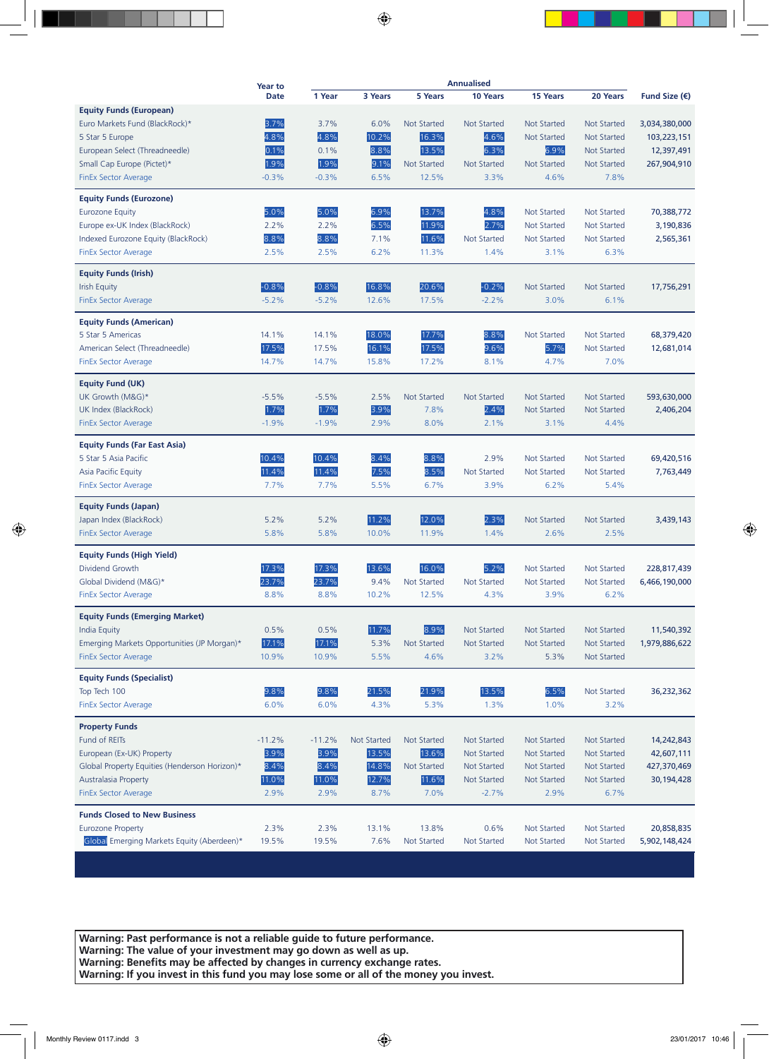|                                                                            | <b>Year to</b> |              |                    |                    | <b>Annualised</b>  |                    |                    |                        |
|----------------------------------------------------------------------------|----------------|--------------|--------------------|--------------------|--------------------|--------------------|--------------------|------------------------|
|                                                                            | <b>Date</b>    | 1 Year       | 3 Years            | 5 Years            | 10 Years           | 15 Years           | 20 Years           | Fund Size $(\epsilon)$ |
| <b>Equity Funds (European)</b>                                             |                |              |                    |                    |                    |                    |                    |                        |
| Euro Markets Fund (BlackRock)*                                             | 3.7%           | 3.7%         | 6.0%               | <b>Not Started</b> | <b>Not Started</b> | <b>Not Started</b> | <b>Not Started</b> | 3,034,380,000          |
| 5 Star 5 Europe                                                            | 4.8%           | 4.8%         | 10.2%              | 16.3%              | 4.6%               | <b>Not Started</b> | <b>Not Started</b> | 103,223,151            |
| European Select (Threadneedle)                                             | 0.1%           | 0.1%         | 8.8%               | 13.5%              | 6.3%               | 6.9%               | <b>Not Started</b> | 12,397,491             |
| Small Cap Europe (Pictet)*                                                 | 1.9%           | 1.9%         | 9.1%               | <b>Not Started</b> | <b>Not Started</b> | <b>Not Started</b> | <b>Not Started</b> | 267,904,910            |
| <b>FinEx Sector Average</b>                                                | $-0.3%$        | $-0.3%$      | 6.5%               | 12.5%              | 3.3%               | 4.6%               | 7.8%               |                        |
| <b>Equity Funds (Eurozone)</b>                                             |                |              |                    |                    |                    |                    |                    |                        |
| <b>Eurozone Equity</b>                                                     | 5.0%           | 5.0%         | 6.9%               | 13.7%              | 4.8%               | <b>Not Started</b> | <b>Not Started</b> | 70,388,772             |
| Europe ex-UK Index (BlackRock)                                             | 2.2%           | 2.2%         | 6.5%               | 11.9%              | 2.7%               | <b>Not Started</b> | <b>Not Started</b> | 3,190,836              |
| Indexed Eurozone Equity (BlackRock)                                        | 8.8%           | 8.8%         | 7.1%               | 11.6%              | <b>Not Started</b> | <b>Not Started</b> | <b>Not Started</b> | 2,565,361              |
| <b>FinEx Sector Average</b>                                                | 2.5%           | 2.5%         | 6.2%               | 11.3%              | 1.4%               | 3.1%               | 6.3%               |                        |
| <b>Equity Funds (Irish)</b>                                                |                |              |                    |                    |                    |                    |                    |                        |
| <b>Irish Equity</b>                                                        | $-0.8%$        | $-0.8%$      | 16.8%              | 20.6%              | $-0.2%$            | <b>Not Started</b> | <b>Not Started</b> | 17,756,291             |
| <b>FinEx Sector Average</b>                                                | $-5.2%$        | $-5.2%$      | 12.6%              | 17.5%              | $-2.2%$            | 3.0%               | 6.1%               |                        |
|                                                                            |                |              |                    |                    |                    |                    |                    |                        |
| <b>Equity Funds (American)</b>                                             |                |              |                    |                    |                    |                    |                    |                        |
| 5 Star 5 Americas                                                          | 14.1%          | 14.1%        | 18.0%              | 17.7%              | 8.8%               | <b>Not Started</b> | <b>Not Started</b> | 68,379,420             |
| American Select (Threadneedle)                                             | 17.5%          | 17.5%        | 16.1%              | 17.5%              | 9.6%               | 5.7%               | <b>Not Started</b> | 12,681,014             |
| <b>FinEx Sector Average</b>                                                | 14.7%          | 14.7%        | 15.8%              | 17.2%              | 8.1%               | 4.7%               | 7.0%               |                        |
| <b>Equity Fund (UK)</b>                                                    |                |              |                    |                    |                    |                    |                    |                        |
| UK Growth (M&G)*                                                           | $-5.5%$        | $-5.5%$      | 2.5%               | <b>Not Started</b> | <b>Not Started</b> | <b>Not Started</b> | <b>Not Started</b> | 593,630,000            |
| UK Index (BlackRock)                                                       | 1.7%           | 1.7%         | 3.9%               | 7.8%               | 2.4%               | <b>Not Started</b> | <b>Not Started</b> | 2,406,204              |
| <b>FinEx Sector Average</b>                                                | $-1.9%$        | $-1.9%$      | 2.9%               | 8.0%               | 2.1%               | 3.1%               | 4.4%               |                        |
| <b>Equity Funds (Far East Asia)</b>                                        |                |              |                    |                    |                    |                    |                    |                        |
| 5 Star 5 Asia Pacific                                                      | 10.4%          | 10.4%        | 8.4%               | 8.8%               | 2.9%               | <b>Not Started</b> | <b>Not Started</b> | 69,420,516             |
| Asia Pacific Equity                                                        | 11.4%          | 11.4%        | 7.5%               | 8.5%               | <b>Not Started</b> | <b>Not Started</b> | <b>Not Started</b> | 7,763,449              |
| <b>FinEx Sector Average</b>                                                | 7.7%           | 7.7%         | 5.5%               | 6.7%               | 3.9%               | 6.2%               | 5.4%               |                        |
|                                                                            |                |              |                    |                    |                    |                    |                    |                        |
| <b>Equity Funds (Japan)</b>                                                |                |              |                    |                    |                    |                    |                    |                        |
| Japan Index (BlackRock)                                                    | 5.2%           | 5.2%         | 11.2%              | 12.0%              | 2.3%               | <b>Not Started</b> | <b>Not Started</b> | 3,439,143              |
| <b>FinEx Sector Average</b>                                                | 5.8%           | 5.8%         | 10.0%              | 11.9%              | 1.4%               | 2.6%               | 2.5%               |                        |
| <b>Equity Funds (High Yield)</b>                                           |                |              |                    |                    |                    |                    |                    |                        |
| Dividend Growth                                                            | 17.3%          | 17.3%        | 13.6%              | 16.0%              | 5.2%               | <b>Not Started</b> | <b>Not Started</b> | 228,817,439            |
| Global Dividend (M&G)*                                                     | 23.7%          | 23.7%        | 9.4%               | <b>Not Started</b> | <b>Not Started</b> | <b>Not Started</b> | <b>Not Started</b> | 6,466,190,000          |
| <b>FinEx Sector Average</b>                                                | 8.8%           | 8.8%         | 10.2%              | 12.5%              | 4.3%               | 3.9%               | 6.2%               |                        |
| <b>Equity Funds (Emerging Market)</b>                                      |                |              |                    |                    |                    |                    |                    |                        |
| India Equity                                                               | 0.5%           | 0.5%         | 11.7%              | 8.9%               | <b>Not Started</b> | <b>Not Started</b> | Not Started        | 11,540,392             |
| Emerging Markets Opportunities (JP Morgan)*                                | 17.1%          | 17.1%        | 5.3%               | <b>Not Started</b> | <b>Not Started</b> | <b>Not Started</b> | Not Started        | 1,979,886,622          |
| <b>FinEx Sector Average</b>                                                | 10.9%          | 10.9%        | 5.5%               | 4.6%               | 3.2%               | 5.3%               | <b>Not Started</b> |                        |
| <b>Equity Funds (Specialist)</b>                                           |                |              |                    |                    |                    |                    |                    |                        |
| Top Tech 100                                                               | 9.8%           | 9.8%         | 21.5%              | 21.9%              | 13.5%              | 6.5%               | <b>Not Started</b> | 36,232,362             |
| <b>FinEx Sector Average</b>                                                | 6.0%           | 6.0%         | 4.3%               | 5.3%               | 1.3%               | 1.0%               | 3.2%               |                        |
|                                                                            |                |              |                    |                    |                    |                    |                    |                        |
| <b>Property Funds</b><br>Fund of REITs                                     | $-11.2%$       | $-11.2%$     | <b>Not Started</b> | <b>Not Started</b> | <b>Not Started</b> | <b>Not Started</b> | <b>Not Started</b> | 14,242,843             |
|                                                                            |                |              |                    | 13.6%              | <b>Not Started</b> | <b>Not Started</b> | <b>Not Started</b> | 42,607,111             |
| European (Ex-UK) Property<br>Global Property Equities (Henderson Horizon)* | 3.9%<br>8.4%   | 3.9%<br>8.4% | 13.5%<br>14.8%     | <b>Not Started</b> | <b>Not Started</b> | <b>Not Started</b> | Not Started        |                        |
|                                                                            | 11.0%          | 11.0%        | 12.7%              | 11.6%              | <b>Not Started</b> | <b>Not Started</b> | <b>Not Started</b> | 427,370,469            |
| <b>Australasia Property</b><br><b>FinEx Sector Average</b>                 | 2.9%           | 2.9%         | 8.7%               | 7.0%               | $-2.7%$            | 2.9%               | 6.7%               | 30,194,428             |
|                                                                            |                |              |                    |                    |                    |                    |                    |                        |
| <b>Funds Closed to New Business</b>                                        |                |              |                    |                    |                    |                    |                    |                        |
| <b>Eurozone Property</b>                                                   | 2.3%           | 2.3%         | 13.1%              | 13.8%              | 0.6%               | <b>Not Started</b> | Not Started        | 20,858,835             |
| Global Emerging Markets Equity (Aberdeen)*                                 | 19.5%          | 19.5%        | 7.6%               | <b>Not Started</b> | <b>Not Started</b> | <b>Not Started</b> | <b>Not Started</b> | 5,902,148,424          |
|                                                                            |                |              |                    |                    |                    |                    |                    |                        |

**Warning: Past performance is not a reliable guide to future performance. Warning: The value of your investment may go down as well as up. Warning: Benefits may be affected by changes in currency exchange rates. Warning: If you invest in this fund you may lose some or all of the money you invest.**